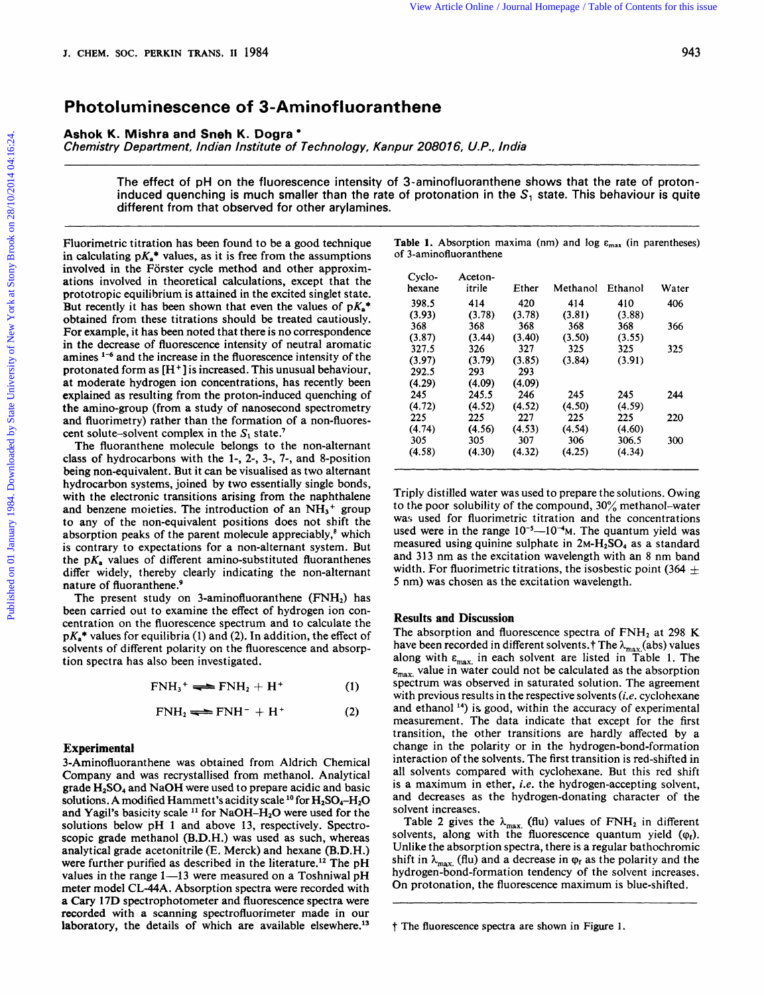## **Photoluminescence of 3-Aminofluoranthene**

**Ashok K. Mishra and Sneh K. Dogra** 

**Chemistry Department, Indian Institute of Technology, Kanpur**  208016, U.P., India<br>208016, U.P., India

The effect of pH on the fluorescence intensity of 3-aminofluoranthene shows that the rate of protoninduced quenching is much smaller than the rate of protonation in the **S,** state. This behaviour is quite different from that observed for other arylamines. *z*<br> *arylamines. zymuthodon CDP., India*<br> *intensity* of 3-aminofluoranthene shows that the rate of proton-<br>
anylamines.

Fluorimetric titration has been found to be a good technique in calculating  $pK_a^*$  values, as it is free from the assumptions involved in the Förster cycle method and other approximations involved in theoretical calculations, except that the prototropic equilibrium is attained in the excited singlet state. But recently it has been shown that even the values of  $pK_a^*$ obtained from these titrations should be treated cautiously. For example, it has been noted that there is no correspondence in the decrease of fluorescence intensity of neutral aromatic amines  $1-6$  and the increase in the fluorescence intensity of the involved in the Forster cycle method and other approxim-<br>
artions involved in theoretical calculations, except that the<br>
prototropic equilibrium is attained in the excited singlet state.<br>
But recently it has been shown th protonated form as **[H+]** is increased. This unusual behaviour, at moderate hydrogen ion concentrations, has recently been explained as resulting from the proton-induced quenching of the amino-group (from a study of nanosecond spectrometry and fluorimetry) rather than the formation of a non-fluorescent solute-solvent complex in the  $S_1$  state.<sup>7</sup>

The fluoranthene molecule belongs to the non-alternant class of hydrocarbons with the **1-,** 2-, 3-, **7-,** and 8-position being non-equivalent. But it can be visualised as two alternant hydrocarbon systems, joined by two essentially single bonds, with the electronic transitions arising from the naphthalene and benzene moieties. The introduction of an  $NH<sub>3</sub>$ <sup>+</sup> group to any of the non-equivalent positions does not shift the absorption peaks of the parent molecule appreciably, $\epsilon$  which is contrary to expectations for a non-alternant system. But the  $pK_a$  values of different amino-substituted fluoranthenes differ widely, thereby clearly indicating the non-alternant nature of fluoranthene.<sup>9</sup>

The present study on 3-aminofluoranthene **(FNH2)** has been carried out to examine the effect of hydrogen ion concentration on the fluorescence spectrum and to calculate the  $pK_a^*$  values for equilibria (1) and (2). In addition, the effect of solvents of different polarity on the fluorescence and absorption spectra has also been investigated.

$$
FNH3+ \rightleftharpoons FNH2 + H+
$$
 (1)

$$
FNH_2 \rightleftharpoons FNH^- + H^+ \tag{2}
$$

## **Experimental**

3-Aminofluoranthene was obtained from Aldrich Chemical Company and was recrystallised from methanol. Analytical grade **HzS04** and NaOH were used to prepare acidic and basic solutions. A modified Hammett's acidity scale <sup>10</sup> for H<sub>2</sub>SO<sub>4</sub>-H<sub>2</sub>O and Yagil's basicity scale <sup>11</sup> for NaOH-H<sub>2</sub>O were used for the solutions below pH 1 and above 13, respectively. Spectroscopic grade methanol (B.D.H.) was used as such, whereas analytical grade acetonitrile (E. Merck) and hexane (B.D.H.) were further purified as described in the literature.<sup>12</sup> The pH values in the range  $1-13$  were measured on a Toshniwal pH meter model CL-44A. Absorption spectra were recorded with **<sup>a</sup>**Cary **17D** spectrophotometer and fluorescence spectra were recorded with a scanning spectrofluorimeter made in our laboratory, the details of which are available elsewhere. $^{13}$ 

| <b>Table 1.</b> Absorption maxima (nm) and $log \epsilon_{max}$ (in parentheses) |  |  |  |
|----------------------------------------------------------------------------------|--|--|--|
| of 3-aminofluoranthene                                                           |  |  |  |

| Cyclo-<br>hexane | Aceton-<br>itrile | Ether  | Methanol | Ethanol | Water |
|------------------|-------------------|--------|----------|---------|-------|
| 398.5            | 414               | 420    | 414      | 410     | 406   |
| (3.93)           | (3.78)            | (3.78) | (3.81)   | (3.88)  |       |
| 368              | 368               | 368    | 368      | 368     | 366   |
| (3.87)           | (3.44)            | (3.40) | (3.50)   | (3.55)  |       |
| 327.5            | 326               | 327    | 325      | 325     | 325   |
| (3.97)           | (3.79)            | (3.85) | (3.84)   | (3.91)  |       |
| 292.5            | 293               | 293    |          |         |       |
| (4.29)           | (4.09)            | (4.09) |          |         |       |
| 245              | 245.5             | 246    | 245      | 245     | 244   |
| (4.72)           | (4.52)            | (4.52) | (4.50)   | (4.59)  |       |
| 225              | 225               | 227    | 225      | 225     | 220   |
| (4.74)           | (4.56)            | (4.53) | (4.54)   | (4.60)  |       |
| 305              | 305               | 307    | 306      | 306.5   | 300   |
| (4.58)           | (4.30)            | (4.32) | (4.25)   | (4.34)  |       |

Triply distilled water was used to prepare the solutions. Owing to the poor solubility of the compound, 30% methanol-water was used for fluorimetric titration and the concentrations used were in the range  $10^{-5}$ — $10^{-4}$ M. The quantum yield was measured using quinine sulphate in 2M-H<sub>2</sub>SO<sub>4</sub> as a standard and 313 nm as the excitation wavelength with an 8 nm band Triply distilled water was used to prepare the solutions. Owing<br>to the poor solubility of the compound,  $30\%$  methanol-water<br>was used for fluorimetric titration and the concentrations<br>used were in the range  $10^{-5}$ — $10^{-4$ **<sup>5</sup>**nm) was chosen as the excitation wavelength.

## **Results and Discussion**

The absorption and fluorescence spectra of FNH<sub>2</sub> at 298 K have been recorded in different solvents.<sup>†</sup> The  $\lambda_{\text{max}}$  (abs) values along with  $\varepsilon_{\text{max}}$  in each solvent are listed in Table 1. The  $\varepsilon_{\text{max}}$  value in water could not be calculated as the absorption spectrum was observed in saturated solution. The agreement with previous results in the respective solvents *(i.e.* cyclohexane and ethanol **14)** is good, within the accuracy of experimental measurement. The data indicate that except for the first transition, the other transitions are hardly affected by a change in the polarity or in the hydrogen-bond-formation interaction of the solvents. The first transition is red-shifted in all solvents compared with cyclohexane. But this red shift is a maximum in ether, **i.e.** the hydrogen-accepting solvent, and decreases as the hydrogen-donating character of the solvent increases.

Table 2 gives the  $\lambda_{\text{max}}$  (flu) values of  $\text{FNH}_2$  in different solvents, along with the fluorescence quantum yield ( $\varphi_f$ ). Unlike the absorption spectra, there is a regular bathochromic shift in  $\lambda_{\text{max}}$  (flu) and a decrease in  $\varphi_f$  as the polarity and the hydrogen-bond-formation tendency of the solvent increases. On protonation, the fluorescence maximum is blue-shifted.

t The fluorescence spectra are shown in Figure **1.**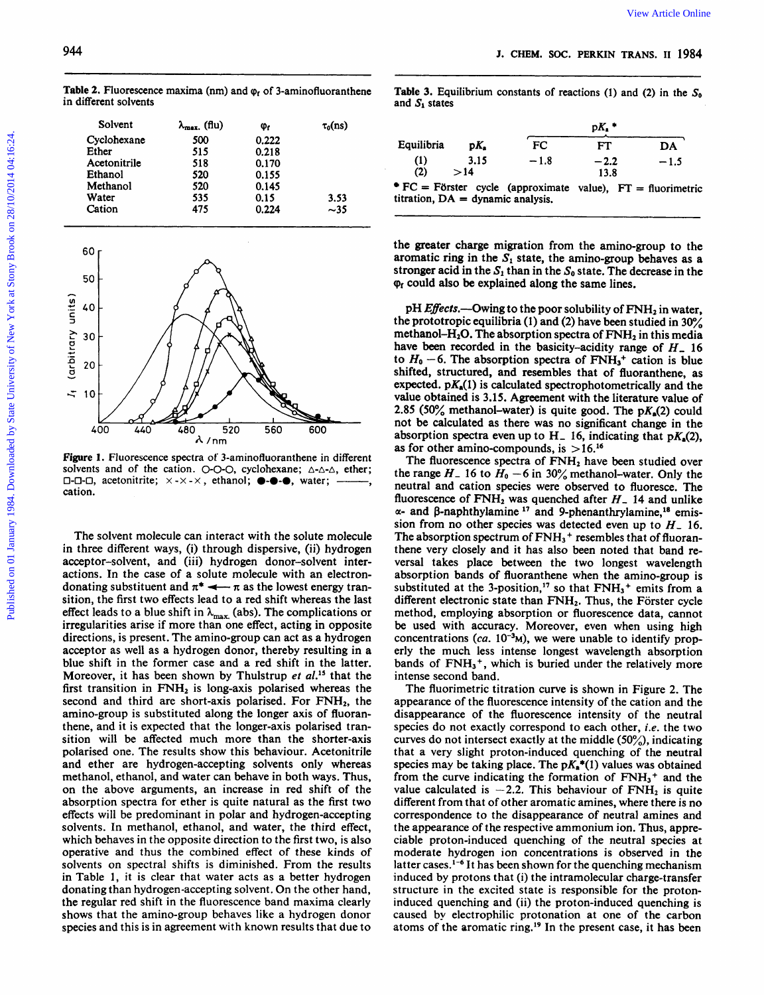**Table 2.** Fluorescence maxima (nm) and  $\varphi_t$  of 3-aminofluoranthene in different solvents

| Solvent      | $\lambda_{\text{max}}$ (flu) | Φŗ    | $\tau_0$ (ns) |
|--------------|------------------------------|-------|---------------|
| Cyclohexane  | 500                          | 0.222 |               |
| Ether        | 515                          | 0.218 |               |
| Acetonitrile | 518                          | 0.170 |               |
| Ethanol      | 520                          | 0.155 |               |
| Methanol     | 520                          | 0.145 |               |
| Water        | 535                          | 0.15  | 3.53          |
| Cation       | 475                          | 0.224 | ~15           |



**Figure 1.** Fluorescence spectra of 3-aminofluoranthene in different solvents and of the cation. O-O-O, cyclohexane;  $\triangle \triangle \triangle$ , ether; **0-0-0,** acetonitrite; x - x - <sup>x</sup>, ethanol; **0-0-0,** water; -, cation.

The solvent molecule can interact with the solute molecule in three different ways, (i) through dispersive, (ii) hydrogen acceptor-solvent, and (iii) hydrogen donor-solvent interactions. In the case of a solute molecule with an electrondonating substituent and  $\pi^* \leftarrow \pi$  as the lowest energy transition, the first two effects lead to a red shift whereas the last effect leads to a blue shift in  $\lambda_{\text{max}}$  (abs). The complications or irregularities arise if more than one effect, acting in opposite directions, is present. The amino-group can act as a hydrogen acceptor as well as a hydrogen donor, thereby resulting in a blue shift in the former case and a red shift in the latter.<br>Moreover, it has been shown by Thulstrup *et al.*<sup>15</sup> that the donating substituent and  $\pi^* \longrightarrow \pi$  as the lowest energy tran-<br>substituted at the 3-position,<sup>17</sup> so that FNH<sub>3</sub><sup>+</sup> emits from a<br>effect leads to a lolus shift in  $\lambda_{\text{max}}$  (abs). The complications or method, emplyoying a first transition in FNH<sub>2</sub> is long-axis polarised whereas the second and third are short-axis polarised. For  $FNH<sub>2</sub>$ , the amino-group is substituted along the longer axis of fluoranthene, and it is expected that the longer-axis polarised transition will be affected much more than the shorter-axis polarised one. The results show this behaviour. Acetonitrile and ether are hydrogen-accepting solvents only whereas methanol, ethanol, and water can behave in both ways. Thus, on the above arguments, an increase in red shift of the absorption spectra for ether is quite natural as the first two effects will be predominant in polar and hydrogen-accepting solvents. In methanol, ethanol, and water, the third effect, which behaves in the opposite direction to the first two, is also operative and thus the combined effect of these kinds of solvents on spectral shifts is diminished. From the results in Table **1,** it is clear that water acts as a better hydrogen donating than hydrogen-accepting solvent. On the other hand, the regular red shift in the fluorescence band maxima clearly shows that the amino-group behaves like a hydrogen donor species and this is in agreement with known results that due to

**2. Fluorescence maxima (nm) and**  $\varphi_f$  **of 3-aminofluoranthene 1. Equilibrium** constants of reactions (1) and (2) in the  $S_0$  **contract solvents** and  $S_1$  states Table 3. Equilibrium constants of reactions (1) and **(2)** in the **So**  and  $S_1$  states

|                                     |             |                                                                     | $pK_{\bullet}$ |        |  |  |  |
|-------------------------------------|-------------|---------------------------------------------------------------------|----------------|--------|--|--|--|
| Equilibria                          | DK.         | <b>FC</b>                                                           | FT             | DA     |  |  |  |
| (1)<br>(2)                          | 3.15<br>>14 | $-1.8$                                                              | $-2.2$<br>13.8 | $-1.5$ |  |  |  |
| titration, $DA =$ dynamic analysis. |             | $\bullet$ FC = Förster cycle (approximate value), FT = fluorimetric |                |        |  |  |  |

the greater charge migration from the amino-group to the aromatic ring in the  $S_1$  state, the amino-group behaves as a stronger acid in the  $S_1$  than in the  $S_0$  state. The decrease in the  $\varphi$ <sub>r</sub> could also be explained along the same lines.

soluted, structured, and resembles that of fluoranthene, as<br>expected.  $\mu_{A}(2)$  and  $\mu_{B}(2)$  and  $\mu_{C}(3)$  and  $\mu_{D}(4)$  and  $\mu_{D}(5)$  and  $\mu_{D}(6)$  and  $\mu_{D}(7)$  and  $\mu_{D}(8)$  and  $\mu_{D}(8)$  and  $\mu_{D}(8)$  and  $\mu_{D}(8)$  a pH *Effects*.—Owing to the poor solubility of  $FNH<sub>2</sub>$  in water, the prototropic equilibria (1) and (2) have been studied in **30%**  methanol- $H_2O$ . The absorption spectra of  $\text{FNH}_2$  in this media have been recorded in the basicity-acidity range of *H,* **16**  to  $H_0$  –6. The absorption spectra of  $\text{FNH}_3^+$  cation is blue shifted, structured, and resembles that of fluoranthene, as expected.  $pK_a(1)$  is calculated spectrophotometrically and the value obtained is **3.15.** Agreement with the literature value of 2.85  $(50\% \text{ methanol-water})$  is quite good. The  $pK_a(2)$  could not be calculated as there was no significant change in the absorption spectra even up to  $H_1$  16, indicating that  $pK_s(2)$ , as for other amino-compounds, is **>16.16** 

The solvent molecule can interact with the solute molecule<br>in three different ways, (i) through dispersive, (ii) hydrogen<br>in three different ways, (i) through dispersive, (ii) hydrogen<br>acceptor-solvent, and (iii) hydrogen The fluorescence spectra of FNH<sub>2</sub> have been studied over the range  $H_-$  16 to  $H_0$  – 6 in 30% methanol-water. Only the neutral and cation species were observed to fluoresce. The fluorescence of  $\text{FNH}_2$  was quenched after  $H$ <sub>-</sub> 14 and unlike  $\alpha$ - and  $\beta$ -naphthylamine <sup>17</sup> and 9-phenanthrylamine,<sup>18</sup> emission from no other species was detected even up to *H,* **16.**  The absorption spectrum of  $\text{FNH}_3$ <sup>+</sup> resembles that of fluoranthene very closely and it has also been noted that band reversal takes place between the two longest wavelength absorption bands of fluoranthene when the amino-group is substituted at the 3-position,<sup>17</sup> so that  $FWH_3$ <sup>+</sup> emits from a different electronic state than FNH<sub>2</sub>. Thus, the Förster cycle method, employing absorption or fluorescence data, cannot be used with accuracy. Moreover, even when using high concentrations  $(ca. 10<sup>-3</sup>M)$ , we were unable to identify properly the much less intense longest wavelength absorption bands of  $FWH_3$ <sup>+</sup>, which is buried under the relatively more intense second band.

The fluorimetric titration curve is shown in Figure 2. The appearance of the fluorescence intensity of the cation and the disappearance of the fluorescence intensity of the neutral species do not exactly correspond to each other, *i.e.* the two curves do not intersect exactly at the middle **(50%),** indicating that a very slight proton-induced quenching of the neutral species may be taking place. The  $pK_n^*(1)$  values was obtained from the curve indicating the formation of **FNH3+** and the value calculated is  $-2.2$ . This behaviour of  $\text{FNH}_2$  is quite different from that of other aromatic amines, where there is no correspondence to the disappearance of neutral amines and the appearance of the respective ammonium ion. Thus, appreciable proton-induced quenching of the neutral species at moderate hydrogen ion concentrations is observed in the latter cases.<sup>1-6</sup> It has been shown for the quenching mechanism induced by protons that (i) the intramolecular charge-transfer structure in the excited state is responsible for the protoninduced quenching and (ii) the proton-induced quenching is caused by electrophilic protonation at one of the carbon atoms of the aromatic ring.<sup>19</sup> In the present case, it has been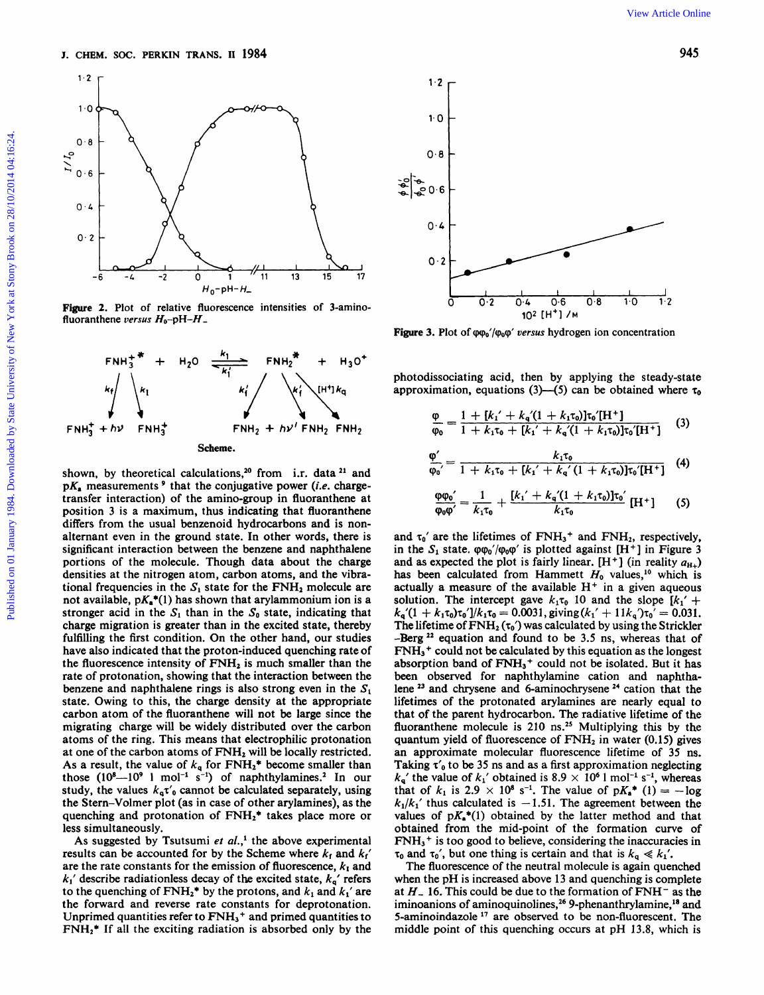

**Figure 2.** Plot of relative fluorescence intensities of 3-aminofluoranthene versus H<sub>0</sub>-pH-H<sub>-</sub>



shown, by theoretical calculations,<sup>20</sup> from i.r. data <sup>21</sup> and  $pK_a$  measurements<sup>9</sup> that the conjugative power (*i.e.* chargetransfer interaction) of the amino-group in fluoranthene at position **3** is a maximum, thus indicating that fluoranthene differs from the usual benzenoid hydrocarbons and is nonalternant even in the ground state. In other words, there is significant interaction between the benzene and naphthalene portions of the molecule. Though data about the charge densities at the nitrogen atom, carbon atoms, and the vibrational frequencies in the  $S_1$  state for the  $\text{FNH}_2$  molecule are not available,  $pK_a^*(1)$  has shown that arylammonium ion is a stronger acid in the  $S_1$  than in the  $S_0$  state, indicating that charge migration is greater than in the excited state, thereby fulfilling the first condition. On the other hand, our studies have also indicated that the proton-induced quenching rate of the fluorescence intensity of **FNH,** is much smaller than the rate of protonation, showing that the interaction between the benzene and naphthalene rings is also strong even in the  $S_1$ state. Owing to this, the charge density at the appropriate carbon atom of the fluoranthene will not be large since the migrating charge will be widely distributed over the carbon atoms of the ring. This means that electrophilic protonation at one of the carbon atoms of **FNH,** will be locally restricted. As a result, the value of  $k_q$  for  $\text{FNH}_2^*$  become smaller than those  $(10<sup>8</sup> -10<sup>9</sup>$  l mol<sup>-1</sup> s<sup>-1</sup>) of naphthylamines.<sup>2</sup> In our study, the values  $k_q \tau'_0$  cannot be calculated separately, using the Stern-Volmer plot (as in case of other arylamines), as the quenching and protonation of **FNH2\*** takes place more or less simultaneously.

As suggested by Tsutsumi et al.,<sup>1</sup> the above experimental results can be accounted for by the Scheme where  $k_f$  and  $k_f'$ are the rate constants for the emission of fluorescence,  $k_1$  and  $k_1$ ' describe radiationless decay of the excited state,  $k_a$ ' refers to the quenching of  $\text{FNH}_2^*$  by the protons, and  $k_1$  and  $k_1'$  are the forward and reverse rate constants for deprotonation. Unprimed quantities refer to **FWH3+** and primed quantities to **FNH2\*** If all the exciting radiation is absorbed only by the



Figure 3. Plot of  $\varphi_0/\varphi_0\varphi'$  versus hydrogen ion concentration

photodissociating acid, then by applying the steady-state approximation, equations  $(3)$ — $(5)$  can be obtained where  $\tau_0$ 

$$
\frac{\varphi}{\varphi_0} = \frac{1 + [k_1' + k_4'(1 + k_1 \tau_0)]\tau_0'[H^+]}{1 + k_1 \tau_0 + [k_1' + k_4'(1 + k_1 \tau_0)]\tau_0'[H^+]} \tag{3}
$$

$$
\frac{\phi'}{\phi_0'} = \frac{k_1 \tau_0}{1 + k_1 \tau_0 + [k_1' + k_2' (1 + k_1 \tau_0)] \tau_0' [H^+]}
$$
 (4)

$$
\frac{\rho \varphi_0'}{\rho_0 \varphi'} = \frac{1}{k_1 \tau_0} + \frac{[k_1' + k_2' (1 + k_1 \tau_0)] \tau_0'}{k_1 \tau_0} [\mathbf{H}^+] \tag{5}
$$

¢

and  $\tau_0'$  are the lifetimes of  $\text{FNH}_3$ <sup>+</sup> and  $\text{FNH}_2$ , respectively, in the  $S_1$  state.  $\varphi \varphi_0 / \varphi_0 \varphi'$  is plotted against  $[H^+]$  in Figure 3 and as expected the plot is fairly linear.  $[H^+]$  (in reality  $a_{H+}$ ) has been calculated from Hammett  $H_0$  values,<sup>10</sup> which is actually a measure of the available **H+** in a given aqueous solution. The intercept gave  $k_1\tau_0$  10 and the slope  $[k_1' +$  $k_q(1 + k_1\tau_0)\tau_0'|/k_1\tau_0 = 0.0031$ , giving  $(k_1' + 11k_q)\tau_0' = 0.031$ . The lifetime of  $\text{FNH}_2(\tau_0)$  was calculated by using the Strickler -Berg<sup>22</sup> equation and found to be 3.5 ns, whereas that of **FNH3+** could not be calculated by this equation as the longest absorption band of **FNH3+** could not be isolated. But it has been observed for naphthylamine cation and naphthalene <sup>23</sup> and chrysene and 6-aminochrysene<sup>24</sup> cation that the lifetimes of the protonated arylamines are nearly equal to that of the parent hydrocarbon. The radiative lifetime of the fluoranthene molecule is 210 ns.<sup>25</sup> Multiplying this by the quantum yield of fluorescence of **FNH2** in water **(0.15)** gives an approximate molecular fluorescence lifetime of **35** ns. Taking  $\tau_0$  to be 35 ns and as a first approximation neglecting  $k_a'$  the value of  $k_1'$  obtained is 8.9  $\times$  10<sup>6</sup> l mol<sup>-1</sup> s<sup>-1</sup>, whereas that of  $k_1$  is  $2.9 \times 10^8$  s<sup>-1</sup>. The value of  $pK_a^*$  (1) = -log  $k_1/k_1'$  thus calculated is -1.51. The agreement between the values of  $pK_a^*(1)$  obtained by the latter method and that obtained from the mid-point of the formation curve of **FNH3+** is too good to believe, considering the inaccuracies in  $\tau_0$  and  $\tau_0'$ , but one thing is certain and that is  $k_a \ll k_1'.$ 

The fluorescence of the neutral molecule is again quenched when the pH is increased above **13** and quenching is complete at *H,* **16.** This could be due to the formation of **FNH-** as the iminoanions of aminoquinolines,<sup>26</sup> 9-phenanthrylamine,<sup>18</sup> and 5-aminoindazole  $17$  are observed to be non-fluorescent. The middle point of this quenching occurs at pH **13.8,** which is